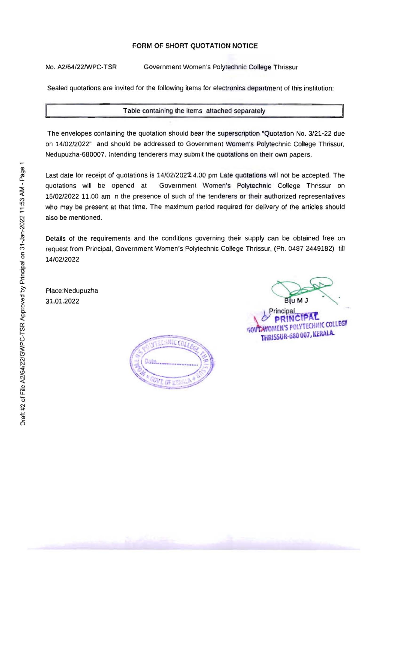## **FORM OF SHORT QUOTATION NOTICE**

No. *AZ/64/22IWPC-TSR* Government Women's Polytechnic College Thrissur

Sealed quotations are invited for the following items for electronics department of this institution:

## Table containing the items attached separately

The envelopes containing the quotation should bear the superscription "Quotation No. *3/21-22* due on *14102/2022"* and should be addressed to Government Women's Polytechnic College Thrissur, Nedupuzha-680007. Intending tenderers may submit the quotations on their own papers,

Last date for receipt of quotations is 14/02/202**2**4.00 pm Late quotations will not be accepted. The auditions will be opened at Government Women's Polytechnic College Thrissur on Government Women's Polytechnic College Thrissur on *15/02/2022* 11.00 am in the presence of such of the tenderers or their authorized representatives who may be present at that time. The maximum period required for delivery of the articles should also be mentioned.

Details of the requirements and the conditions governing their supply can be obtained free on request from Principal, Government Women's Polytechnic College Thrissur, (Ph. 0487 2449182) till *14/02/2022* 

Place:Nedupuzha 31,01.2022

**CY PRINCIPAL**<br>COLLEGE POLYTECHNIC COLLEGE Principal Biju M J<br>icipal<br>RINCIPAL **THRISSUR-680 007, KERALA**